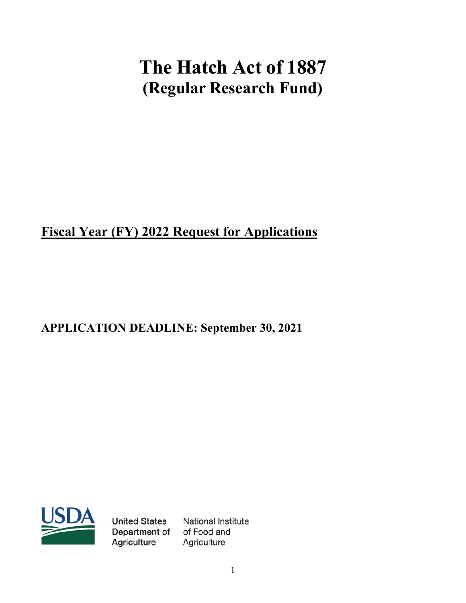# **The Hatch Act of 1887 (Regular Research Fund)**

# **Fiscal Year (FY) 2022 Request for Applications**

# **APPLICATION DEADLINE: September 30, 2021**



**United States** Department of Agriculture

**National Institute** of Food and Agriculture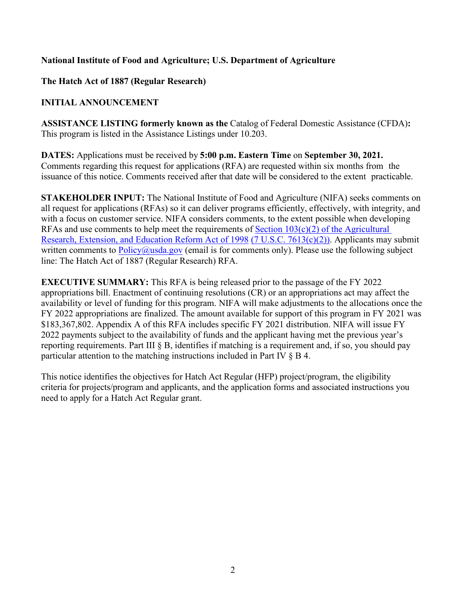# **National Institute of Food and Agriculture; U.S. Department of Agriculture**

**The Hatch Act of 1887 (Regular Research)**

# **INITIAL ANNOUNCEMENT**

**ASSISTANCE LISTING formerly known as the** Catalog of Federal Domestic Assistance (CFDA)**:**  This program is listed in the Assistance Listings under 10.203.

**DATES:** Applications must be received by **5:00 p.m. Eastern Time** on **September 30, 2021.**  Comments regarding this request for applications (RFA) are requested within six months from the issuance of this notice. Comments received after that date will be considered to the extent practicable.

**STAKEHOLDER INPUT:** The National Institute of Food and Agriculture (NIFA) seeks comments on all request for applications (RFAs) so it can deliver programs efficiently, effectively, with integrity, and with a focus on customer service. NIFA considers comments, to the extent possible when developing RFAs and use comments to help meet the requirements of  $Section 103(c)(2)$  of the Agricultural [Research, Extension, and Education Reform Act of 1998](https://uscode.house.gov/view.xhtml?path=/prelim@title7/chapter103&edition=prelim) [\(7 U.S.C. 7613\(c\)\(2\)\).](https://uscode.house.gov/view.xhtml?req=(title:7%20section:7613%20edition:prelim)%20OR%20(granuleid:USC-prelim-title7-section7613)&f=treesort&edition=prelim&num=0&jumpTo=true) Applicants may submit written comments to  $Policy@usda.gov$  (email is for comments only). Please use the following subject line: The Hatch Act of 1887 (Regular Research) RFA.

**EXECUTIVE SUMMARY:** This RFA is being released prior to the passage of the FY 2022 appropriations bill. Enactment of continuing resolutions (CR) or an appropriations act may affect the availability or level of funding for this program. NIFA will make adjustments to the allocations once the FY 2022 appropriations are finalized. The amount available for support of this program in FY 2021 was \$183,367,802. Appendix A of this RFA includes specific FY 2021 distribution. NIFA will issue FY 2022 payments subject to the availability of funds and the applicant having met the previous year's reporting requirements. Part III § B, identifies if matching is a requirement and, if so, you should pay particular attention to the matching instructions included in Part IV § B 4.

This notice identifies the objectives for Hatch Act Regular (HFP) project/program, the eligibility criteria for projects/program and applicants, and the application forms and associated instructions you need to apply for a Hatch Act Regular grant.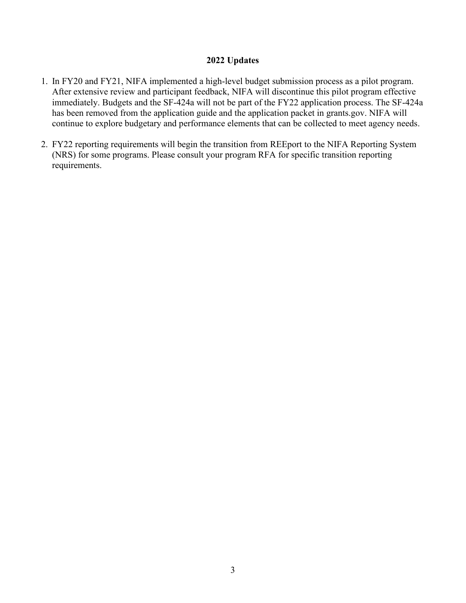#### **2022 Updates**

- 1. In FY20 and FY21, NIFA implemented a high-level budget submission process as a pilot program. After extensive review and participant feedback, NIFA will discontinue this pilot program effective immediately. Budgets and the SF-424a will not be part of the FY22 application process. The SF-424a has been removed from the application guide and the application packet in grants.gov. NIFA will continue to explore budgetary and performance elements that can be collected to meet agency needs.
- 2. FY22 reporting requirements will begin the transition from REEport to the NIFA Reporting System (NRS) for some programs. Please consult your program RFA for specific transition reporting requirements.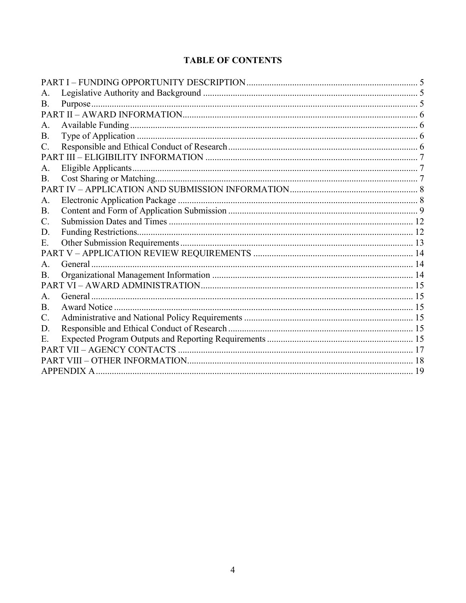# **TABLE OF CONTENTS**

| A.             |             |  |
|----------------|-------------|--|
| B.             |             |  |
|                |             |  |
| A.             |             |  |
| Β.             |             |  |
| C.             |             |  |
|                |             |  |
| А.             |             |  |
| <b>B.</b>      |             |  |
|                |             |  |
| A.             |             |  |
| <b>B.</b>      |             |  |
| C.             |             |  |
| D.             |             |  |
| E.             |             |  |
|                |             |  |
| A.             |             |  |
| Β.             |             |  |
|                |             |  |
| A <sub>1</sub> |             |  |
| B.             |             |  |
| $\mathbf{C}$ . |             |  |
| D.             |             |  |
| Е.             |             |  |
|                |             |  |
|                |             |  |
|                | APPENDIX A. |  |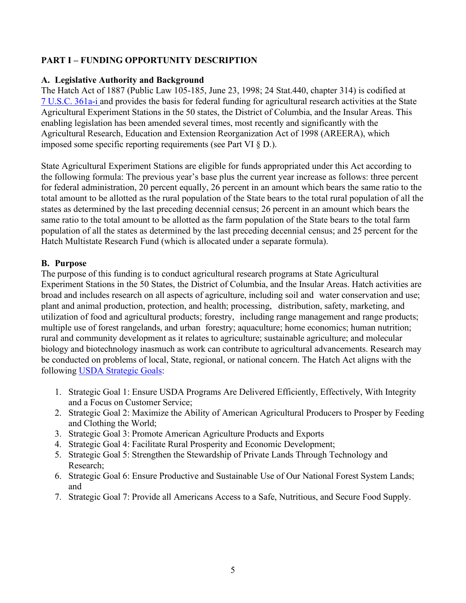# <span id="page-4-0"></span>**PART I – FUNDING OPPORTUNITY DESCRIPTION**

#### <span id="page-4-1"></span>**A. Legislative Authority and Background**

The Hatch Act of 1887 (Public Law 105-185, June 23, 1998; 24 Stat.440, chapter 314) is codified at [7 U.S.C. 361a-i](https://uscode.house.gov/view.xhtml?path=/prelim@title7/chapter14/subchapter1&edition=prelim) and provides the basis for federal funding for agricultural research activities at the State Agricultural Experiment Stations in the 50 states, the District of Columbia, and the Insular Areas. This enabling legislation has been amended several times, most recently and significantly with the Agricultural Research, Education and Extension Reorganization Act of 1998 (AREERA), which imposed some specific reporting requirements (see Part VI § D.).

State Agricultural Experiment Stations are eligible for funds appropriated under this Act according to the following formula: The previous year's base plus the current year increase as follows: three percent for federal administration, 20 percent equally, 26 percent in an amount which bears the same ratio to the total amount to be allotted as the rural population of the State bears to the total rural population of all the states as determined by the last preceding decennial census; 26 percent in an amount which bears the same ratio to the total amount to be allotted as the farm population of the State bears to the total farm population of all the states as determined by the last preceding decennial census; and 25 percent for the Hatch Multistate Research Fund (which is allocated under a separate formula).

#### <span id="page-4-2"></span>**B. Purpose**

The purpose of this funding is to conduct agricultural research programs at State Agricultural Experiment Stations in the 50 States, the District of Columbia, and the Insular Areas. Hatch activities are broad and includes research on all aspects of agriculture, including soil and water conservation and use; plant and animal production, protection, and health; processing, distribution, safety, marketing, and utilization of food and agricultural products; forestry, including range management and range products; multiple use of forest rangelands, and urban forestry; aquaculture; home economics; human nutrition; rural and community development as it relates to agriculture; sustainable agriculture; and molecular biology and biotechnology inasmuch as work can contribute to agricultural advancements. Research may be conducted on problems of local, State, regional, or national concern. The Hatch Act aligns with the following [USDA Strategic Goals:](https://www.usda.gov/sites/default/files/documents/usda-strategic-plan-2018-2022.pdf)

- 1. Strategic Goal 1: Ensure USDA Programs Are Delivered Efficiently, Effectively, With Integrity and a Focus on Customer Service;
- 2. Strategic Goal 2: Maximize the Ability of American Agricultural Producers to Prosper by Feeding and Clothing the World;
- 3. Strategic Goal 3: Promote American Agriculture Products and Exports
- 4. Strategic Goal 4: Facilitate Rural Prosperity and Economic Development;
- 5. Strategic Goal 5: Strengthen the Stewardship of Private Lands Through Technology and Research;
- 6. Strategic Goal 6: Ensure Productive and Sustainable Use of Our National Forest System Lands; and
- 7. Strategic Goal 7: Provide all Americans Access to a Safe, Nutritious, and Secure Food Supply.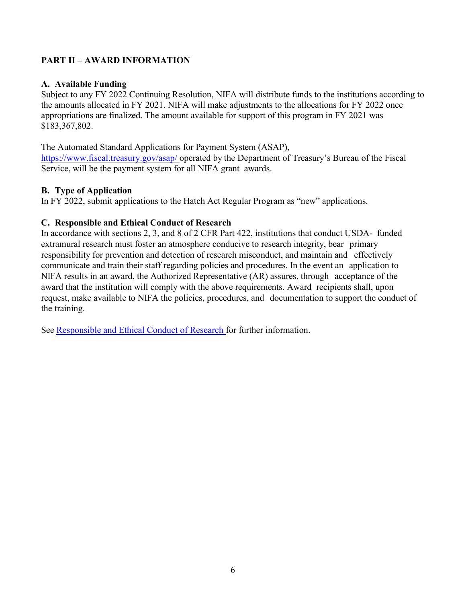# <span id="page-5-0"></span>**PART II – AWARD INFORMATION**

#### <span id="page-5-1"></span>**A. Available Funding**

Subject to any FY 2022 Continuing Resolution, NIFA will distribute funds to the institutions according to the amounts allocated in FY 2021. NIFA will make adjustments to the allocations for FY 2022 once appropriations are finalized. The amount available for support of this program in FY 2021 was \$183,367,802.

The Automated Standard Applications for Payment System (ASAP), <https://www.fiscal.treasury.gov/asap/> operated by the Department of Treasury's Bureau of the Fiscal Service, will be the payment system for all NIFA grant awards.

#### <span id="page-5-2"></span>**B. Type of Application**

In FY 2022, submit applications to the Hatch Act Regular Program as "new" applications.

#### <span id="page-5-3"></span>**C. Responsible and Ethical Conduct of Research**

In accordance with sections 2, 3, and 8 of 2 CFR Part 422, institutions that conduct USDA- funded extramural research must foster an atmosphere conducive to research integrity, bear primary responsibility for prevention and detection of research misconduct, and maintain and effectively communicate and train their staff regarding policies and procedures. In the event an application to NIFA results in an award, the Authorized Representative (AR) assures, through acceptance of the award that the institution will comply with the above requirements. Award recipients shall, upon request, make available to NIFA the policies, procedures, and documentation to support the conduct of the training.

See [Responsible and Ethical Conduct of Research](https://nifa.usda.gov/responsible-and-ethical-conduct-research) for further information.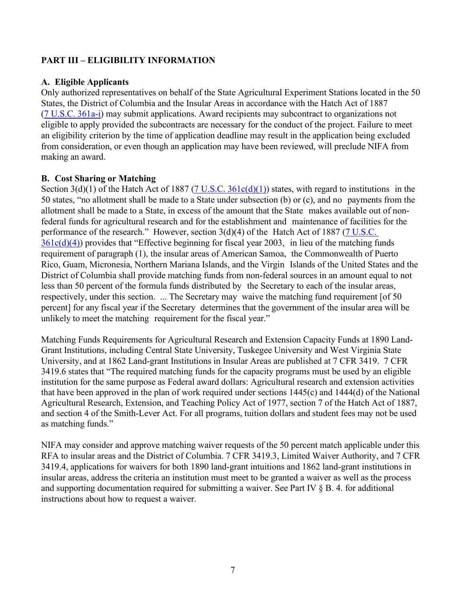# <span id="page-6-0"></span>**PART III – ELIGIBILITY INFORMATION**

#### <span id="page-6-1"></span>**A. Eligible Applicants**

Only authorized representatives on behalf of the State Agricultural Experiment Stations located in the 50 States, the District of Columbia and the Insular Areas in accordance with the Hatch Act of 1887 [\(7 U.S.C. 361a-i\)](https://uscode.house.gov/view.xhtml?path=/prelim@title7/chapter14/subchapter1&edition=prelim) may submit applications. Award recipients may subcontract to organizations not eligible to apply provided the subcontracts are necessary for the conduct of the project. Failure to meet an eligibility criterion by the time of application deadline may result in the application being excluded from consideration, or even though an application may have been reviewed, will preclude NIFA from making an award.

#### <span id="page-6-2"></span>**B. Cost Sharing or Matching**

Section  $3(d)(1)$  of the Hatch Act of 1887 ( $7$  U.S.C.  $361c(d)(1)$ ) states, with regard to institutions in the 50 states, "no allotment shall be made to a State under subsection (b) or (c), and no payments from the allotment shall be made to a State, in excess of the amount that the State makes available out of nonfederal funds for agricultural research and for the establishment and maintenance of facilities for the performance of the research." However, section  $3(d)(4)$  of the Hatch Act of 1887 (7 U.S.C.  $361c(d)(4)$ ) provides that "Effective beginning for fiscal year 2003, in lieu of the matching funds requirement of paragraph (1), the insular areas of American Samoa, the Commonwealth of Puerto Rico, Guam, Micronesia, Northern Mariana Islands, and the Virgin Islands of the United States and the District of Columbia shall provide matching funds from non-federal sources in an amount equal to not less than 50 percent of the formula funds distributed by the Secretary to each of the insular areas, respectively, under this section. ... The Secretary may waive the matching fund requirement [of 50 percent] for any fiscal year if the Secretary determines that the government of the insular area will be unlikely to meet the matching requirement for the fiscal year."

Matching Funds Requirements for Agricultural Research and Extension Capacity Funds at 1890 Land-Grant Institutions, including Central State University, Tuskegee University and West Virginia State University, and at 1862 Land-grant Institutions in Insular Areas are published at 7 CFR 3419. 7 CFR 3419.6 states that "The required matching funds for the capacity programs must be used by an eligible institution for the same purpose as Federal award dollars: Agricultural research and extension activities that have been approved in the plan of work required under sections 1445(c) and 1444(d) of the National Agricultural Research, Extension, and Teaching Policy Act of 1977, section 7 of the Hatch Act of 1887, and section 4 of the Smith-Lever Act. For all programs, tuition dollars and student fees may not be used as matching funds."

NIFA may consider and approve matching waiver requests of the 50 percent match applicable under this RFA to insular areas and the District of Columbia. 7 CFR 3419.3, Limited Waiver Authority, and 7 CFR 3419.4, applications for waivers for both 1890 land-grant intuitions and 1862 land-grant institutions in insular areas, address the criteria an institution must meet to be granted a waiver as well as the process and supporting documentation required for submitting a waiver. See Part IV § B. 4. for additional instructions about how to request a waiver.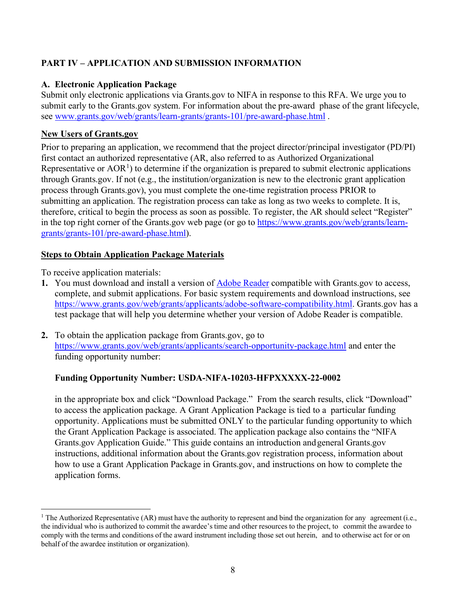# <span id="page-7-0"></span>**PART IV – APPLICATION AND SUBMISSION INFORMATION**

# <span id="page-7-1"></span>**A. Electronic Application Package**

Submit only electronic applications via Grants.gov to NIFA in response to this RFA. We urge you to submit early to the Grants.gov system. For information about the pre-award phase of the grant lifecycle, see [www.grants.gov/web/grants/learn-grants/grants-101/pre-award-phase.html](https://www.grants.gov/web/grants/learn-grants/grants-101/pre-award-phase.html) .

# **New Users of Grants.gov**

Prior to preparing an application, we recommend that the project director/principal investigator (PD/PI) first contact an authorized representative (AR, also referred to as Authorized Organizational Representative or  $AOR<sup>1</sup>$  $AOR<sup>1</sup>$  $AOR<sup>1</sup>$ ) to determine if the organization is prepared to submit electronic applications through Grants.gov. If not (e.g., the institution/organization is new to the electronic grant application process through Grants.gov), you must complete the one-time registration process PRIOR to submitting an application. The registration process can take as long as two weeks to complete. It is, therefore, critical to begin the process as soon as possible. To register, the AR should select "Register" in the top right corner of the Grants.gov web page (or go to [https://www.grants.gov/web/grants/learn](https://www.grants.gov/web/grants/learn-grants/grants-101/pre-award-phase.html)[grants/grants-101/pre-award-phase.html\)](https://www.grants.gov/web/grants/learn-grants/grants-101/pre-award-phase.html).

# **Steps to Obtain Application Package Materials**

To receive application materials:

- **1.** You must download and install a version of [Adobe Reader](https://get.adobe.com/reader/) compatible with Grants.gov to access, complete, and submit applications. For basic system requirements and download instructions, see [https://www.grants.gov/web/grants/applicants/adobe-software-compatibility.html.](https://www.grants.gov/web/grants/applicants/adobe-software-compatibility.html) Grants.gov has a test package that will help you determine whether your version of Adobe Reader is compatible.
- **2.** To obtain the application package from Grants.gov, go to <https://www.grants.gov/web/grants/applicants/search-opportunity-package.html> and enter the funding opportunity number:

#### **Funding Opportunity Number: USDA-NIFA-10203-HFPXXXXX-22-0002**

in the appropriate box and click "Download Package." From the search results, click "Download" to access the application package. A Grant Application Package is tied to a particular funding opportunity. Applications must be submitted ONLY to the particular funding opportunity to which the Grant Application Package is associated. The application package also contains the "NIFA Grants.gov Application Guide." This guide contains an introduction andgeneral Grants.gov instructions, additional information about the Grants.gov registration process, information about how to use a Grant Application Package in Grants.gov, and instructions on how to complete the application forms.

<span id="page-7-2"></span><sup>&</sup>lt;sup>1</sup> The Authorized Representative (AR) must have the authority to represent and bind the organization for any agreement (i.e., the individual who is authorized to commit the awardee's time and other resources to the project, to commit the awardee to comply with the terms and conditions of the award instrument including those set out herein, and to otherwise act for or on behalf of the awardee institution or organization).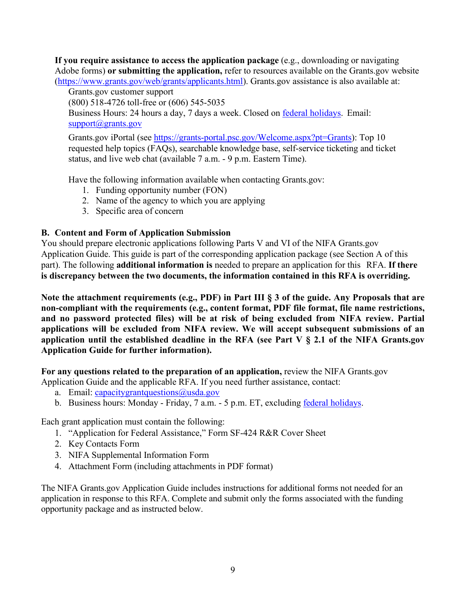**If you require assistance to access the application package** (e.g., downloading or navigating Adobe forms) **or submitting the application,** refer to resources available on the Grants.gov website [\(https://www.grants.gov/web/grants/applicants.html\)](https://www.grants.gov/web/grants/applicants.html). Grants.gov assistance is also available at:

Grants.gov customer support

(800) 518-4726 toll-free or (606) 545-5035

Business Hours: 24 hours a day, 7 days a week. Closed on **federal holidays**. Email: [support@grants.gov](mailto:support@grants.gov)

Grants.gov iPortal (see [https://grants-portal.psc.gov/Welcome.aspx?pt=Grants\)](https://grants-portal.psc.gov/Welcome.aspx?pt=Grants): Top 10 requested help topics (FAQs), searchable knowledge base, self-service ticketing and ticket status, and live web chat (available 7 a.m. - 9 p.m. Eastern Time).

Have the following information available when contacting Grants.gov:

- 1. Funding opportunity number (FON)
- 2. Name of the agency to which you are applying
- 3. Specific area of concern

#### <span id="page-8-0"></span>**B. Content and Form of Application Submission**

You should prepare electronic applications following Parts V and VI of the NIFA Grants.gov Application Guide. This guide is part of the corresponding application package (see Section A of this part). The following **additional information is** needed to prepare an application for this RFA. **If there is discrepancy between the two documents, the information contained in this RFA is overriding.**

**Note the attachment requirements (e.g., PDF) in Part III § 3 of the guide. Any Proposals that are non-compliant with the requirements (e.g., content format, PDF file format, file name restrictions, and no password protected files) will be at risk of being excluded from NIFA review. Partial applications will be excluded from NIFA review. We will accept subsequent submissions of an application until the established deadline in the RFA (see Part V § 2.1 of the NIFA Grants.gov Application Guide for further information).**

**For any questions related to the preparation of an application,** review the NIFA Grants.gov Application Guide and the applicable RFA. If you need further assistance, contact:

- a. Email: capacitygrantquestions $@$ usda.gov
- b. Business hours: Monday Friday, 7 a.m. 5 p.m. ET, excluding federal [holidays.](http://www.opm.gov/policy-data-oversight/snow-dismissal-procedures/federal-holidays/)

Each grant application must contain the following:

- 1. "Application for Federal Assistance," Form SF-424 R&R Cover Sheet
- 2. Key Contacts Form
- 3. NIFA Supplemental Information Form
- 4. Attachment Form (including attachments in PDF format)

The NIFA Grants.gov Application Guide includes instructions for additional forms not needed for an application in response to this RFA. Complete and submit only the forms associated with the funding opportunity package and as instructed below.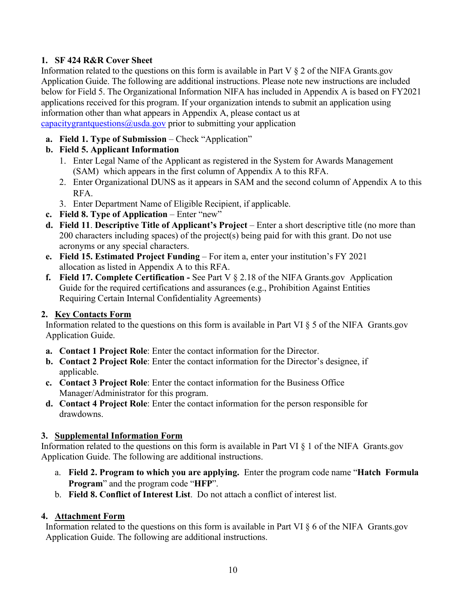# **1. SF 424 R&R Cover Sheet**

Information related to the questions on this form is available in Part V  $\S$  2 of the NIFA Grants.gov Application Guide. The following are additional instructions. Please note new instructions are included below for Field 5. The Organizational Information NIFA has included in Appendix A is based on FY2021 applications received for this program. If your organization intends to submit an application using information other than what appears in Appendix A, please contact us at [capacitygrantquestions@usda.gov](mailto:capacitygrantquestions@usda.gov) prior to submitting your application

- **a. Field 1. Type of Submission** Check "Application"
- **b. Field 5. Applicant Information** 
	- 1. Enter Legal Name of the Applicant as registered in the System for Awards Management (SAM) which appears in the first column of Appendix A to this RFA.
	- 2. Enter Organizational DUNS as it appears in SAM and the second column of Appendix A to this RFA.
	- 3. Enter Department Name of Eligible Recipient, if applicable.
- **c. Field 8. Type of Application** Enter "new"
- **d. Field 11**. **Descriptive Title of Applicant's Project** Enter a short descriptive title (no more than 200 characters including spaces) of the project(s) being paid for with this grant. Do not use acronyms or any special characters.
- **e. Field 15. Estimated Project Funding** For item a, enter your institution's FY 2021 allocation as listed in Appendix A to this RFA.
- **f. Field 17. Complete Certification** See Part V § 2.18 of the NIFA Grants.gov Application Guide for the required certifications and assurances (e.g., Prohibition Against Entities Requiring Certain Internal Confidentiality Agreements)

# **2. Key Contacts Form**

Information related to the questions on this form is available in Part VI § 5 of the NIFA Grants.gov Application Guide.

- **a. Contact 1 Project Role**: Enter the contact information for the Director.
- **b. Contact 2 Project Role**: Enter the contact information for the Director's designee, if applicable.
- **c. Contact 3 Project Role**: Enter the contact information for the Business Office Manager/Administrator for this program.
- **d. Contact 4 Project Role**: Enter the contact information for the person responsible for drawdowns.

# **3. Supplemental Information Form**

Information related to the questions on this form is available in Part VI § 1 of the NIFA Grants.gov Application Guide. The following are additional instructions.

- a. **Field 2. Program to which you are applying.** Enter the program code name "**Hatch Formula Program**" and the program code "**HFP**".
- b. **Field 8. Conflict of Interest List**. Do not attach a conflict of interest list.

# **4. Attachment Form**

Information related to the questions on this form is available in Part VI § 6 of the NIFA Grants.gov Application Guide. The following are additional instructions.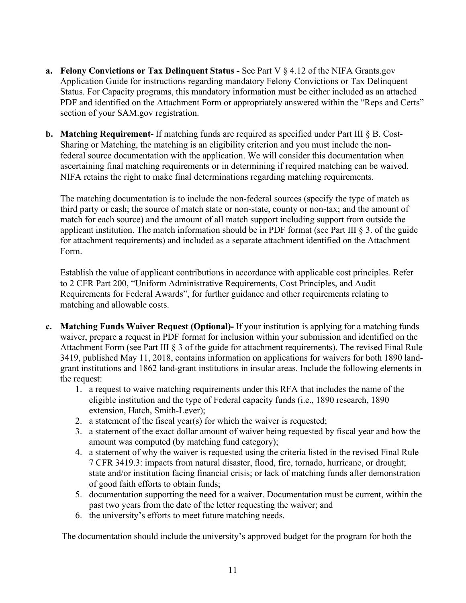- **a. Felony Convictions or Tax Delinquent Status** See Part V § 4.12 of the NIFA Grants.gov Application Guide for instructions regarding mandatory Felony Convictions or Tax Delinquent Status. For Capacity programs, this mandatory information must be either included as an attached PDF and identified on the Attachment Form or appropriately answered within the "Reps and Certs" section of your SAM.gov registration.
- **b. Matching Requirement-** If matching funds are required as specified under Part III § B. Cost-Sharing or Matching, the matching is an eligibility criterion and you must include the nonfederal source documentation with the application. We will consider this documentation when ascertaining final matching requirements or in determining if required matching can be waived. NIFA retains the right to make final determinations regarding matching requirements.

The matching documentation is to include the non-federal sources (specify the type of match as third party or cash; the source of match state or non-state, county or non-tax; and the amount of match for each source) and the amount of all match support including support from outside the applicant institution. The match information should be in PDF format (see Part III § 3. of the guide for attachment requirements) and included as a separate attachment identified on the Attachment Form.

Establish the value of applicant contributions in accordance with applicable cost principles. Refer to 2 CFR Part 200, "Uniform Administrative Requirements, Cost Principles, and Audit Requirements for Federal Awards", for further guidance and other requirements relating to matching and allowable costs.

- **c. Matching Funds Waiver Request (Optional)-** If your institution is applying for a matching funds waiver, prepare a request in PDF format for inclusion within your submission and identified on the Attachment Form (see Part III § 3 of the guide for attachment requirements). The revised Final Rule 3419, published May 11, 2018, contains information on applications for waivers for both 1890 landgrant institutions and 1862 land-grant institutions in insular areas. Include the following elements in the request:
	- 1. a request to waive matching requirements under this RFA that includes the name of the eligible institution and the type of Federal capacity funds (i.e., 1890 research, 1890 extension, Hatch, Smith-Lever);
	- 2. a statement of the fiscal year(s) for which the waiver is requested;
	- 3. a statement of the exact dollar amount of waiver being requested by fiscal year and how the amount was computed (by matching fund category);
	- 4. a statement of why the waiver is requested using the criteria listed in the revised Final Rule 7 CFR 3419.3: impacts from natural disaster, flood, fire, tornado, hurricane, or drought; state and/or institution facing financial crisis; or lack of matching funds after demonstration of good faith efforts to obtain funds;
	- 5. documentation supporting the need for a waiver. Documentation must be current, within the past two years from the date of the letter requesting the waiver; and
	- 6. the university's efforts to meet future matching needs.

The documentation should include the university's approved budget for the program for both the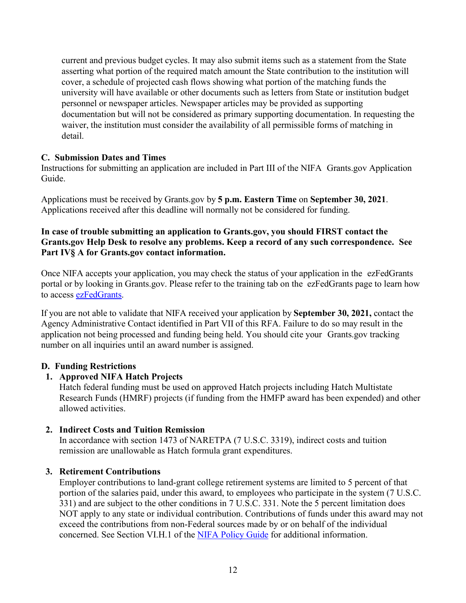current and previous budget cycles. It may also submit items such as a statement from the State asserting what portion of the required match amount the State contribution to the institution will cover, a schedule of projected cash flows showing what portion of the matching funds the university will have available or other documents such as letters from State or institution budget personnel or newspaper articles. Newspaper articles may be provided as supporting documentation but will not be considered as primary supporting documentation. In requesting the waiver, the institution must consider the availability of all permissible forms of matching in detail.

#### <span id="page-11-0"></span>**C. Submission Dates and Times**

Instructions for submitting an application are included in Part III of the NIFA Grants.gov Application Guide.

Applications must be received by Grants.gov by **5 p.m. Eastern Time** on **September 30, 2021**. Applications received after this deadline will normally not be considered for funding.

#### **In case of trouble submitting an application to Grants.gov, you should FIRST contact the Grants.gov Help Desk to resolve any problems. Keep a record of any such correspondence. See Part IV§ A for Grants.gov contact information.**

Once NIFA accepts your application, you may check the status of your application in the ezFedGrants portal or by looking in Grants.gov. Please refer to the training tab on the ezFedGrants page to learn how to access [ezFedGrants.](https://www.nfc.usda.gov/FSS/ClientServices/ezFedGrants/)

If you are not able to validate that NIFA received your application by **September 30, 2021,** contact the Agency Administrative Contact identified in Part VII of this RFA. Failure to do so may result in the application not being processed and funding being held. You should cite your Grants.gov tracking number on all inquiries until an award number is assigned.

#### <span id="page-11-1"></span>**D. Funding Restrictions**

#### **1. Approved NIFA Hatch Projects**

Hatch federal funding must be used on approved Hatch projects including Hatch Multistate Research Funds (HMRF) projects (if funding from the HMFP award has been expended) and other allowed activities.

#### **2. Indirect Costs and Tuition Remission**

In accordance with section 1473 of NARETPA (7 U.S.C. 3319), indirect costs and tuition remission are unallowable as Hatch formula grant expenditures.

#### **3. Retirement Contributions**

Employer contributions to land-grant college retirement systems are limited to 5 percent of that portion of the salaries paid, under this award, to employees who participate in the system (7 U.S.C. 331) and are subject to the other conditions in 7 U.S.C. 331. Note the 5 percent limitation does NOT apply to any state or individual contribution. Contributions of funds under this award may not exceed the contributions from non-Federal sources made by or on behalf of the individual concerned. See Section VI.H.1 of the [NIFA Policy Guide](https://nifa.usda.gov/policy-guide) for additional information.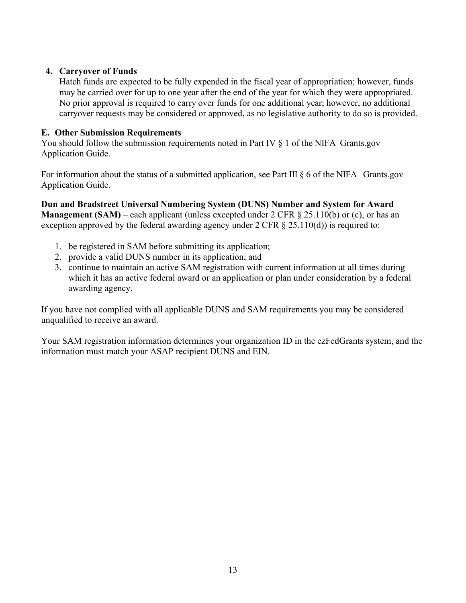# **4. Carryover of Funds**

Hatch funds are expected to be fully expended in the fiscal year of appropriation; however, funds may be carried over for up to one year after the end of the year for which they were appropriated. No prior approval is required to carry over funds for one additional year; however, no additional carryover requests may be considered or approved, as no legislative authority to do so is provided.

# <span id="page-12-0"></span>**E. Other Submission Requirements**

You should follow the submission requirements noted in Part IV  $\S$  1 of the NIFA Grants.gov Application Guide.

For information about the status of a submitted application, see Part III  $\S 6$  of the NIFA Grants.gov Application Guide.

**Dun and Bradstreet Universal Numbering System (DUNS) Number and System for Award Management (SAM)** – each applicant (unless excepted under 2 CFR  $\&$  25.110(b) or (c), or has an exception approved by the federal awarding agency under  $2 \text{ CFR } \S 25.110(d)$  is required to:

- 1. be registered in SAM before submitting its application;
- 2. provide a valid DUNS number in its application; and
- 3. continue to maintain an active SAM registration with current information at all times during which it has an active federal award or an application or plan under consideration by a federal awarding agency.

If you have not complied with all applicable DUNS and SAM requirements you may be considered unqualified to receive an award.

Your SAM registration information determines your organization ID in the ezFedGrants system, and the information must match your ASAP recipient DUNS and EIN.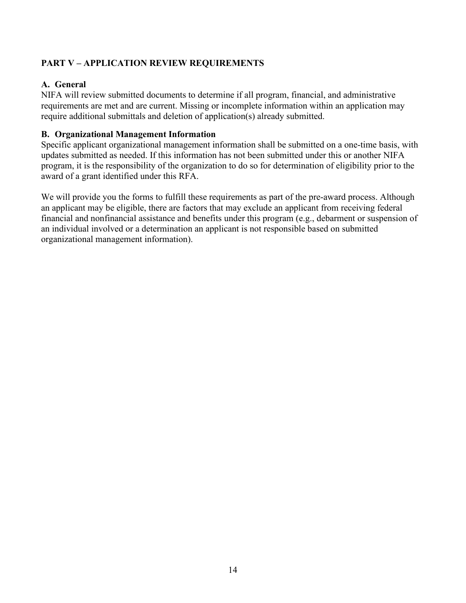# <span id="page-13-0"></span>**PART V – APPLICATION REVIEW REQUIREMENTS**

# <span id="page-13-1"></span>**A. General**

NIFA will review submitted documents to determine if all program, financial, and administrative requirements are met and are current. Missing or incomplete information within an application may require additional submittals and deletion of application(s) already submitted.

# <span id="page-13-2"></span>**B. Organizational Management Information**

Specific applicant organizational management information shall be submitted on a one-time basis, with updates submitted as needed. If this information has not been submitted under this or another NIFA program, it is the responsibility of the organization to do so for determination of eligibility prior to the award of a grant identified under this RFA.

We will provide you the forms to fulfill these requirements as part of the pre-award process. Although an applicant may be eligible, there are factors that may exclude an applicant from receiving federal financial and nonfinancial assistance and benefits under this program (e.g., debarment or suspension of an individual involved or a determination an applicant is not responsible based on submitted organizational management information).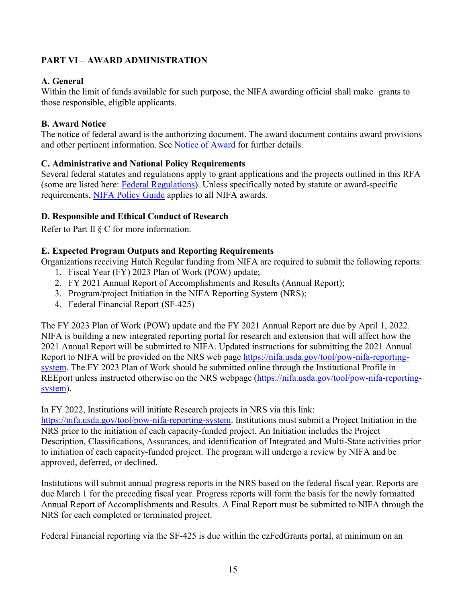# <span id="page-14-0"></span>**PART VI – AWARD ADMINISTRATION**

# <span id="page-14-1"></span>**A. General**

Within the limit of funds available for such purpose, the NIFA awarding official shall make grants to those responsible, eligible applicants.

#### <span id="page-14-2"></span>**B. Award Notice**

The notice of federal award is the authorizing document. The award document contains award provisions and other pertinent information. See [Notice of Award](https://nifa.usda.gov/wait-notification) for further details.

# <span id="page-14-3"></span>**C. Administrative and National Policy Requirements**

Several federal statutes and regulations apply to grant applications and the projects outlined in this RFA (some are listed here: [Federal Regulations\)](https://nifa.usda.gov/federal-regulations). Unless specifically noted by statute or award-specific requirements, [NIFA Policy Guide](https://nifa.usda.gov/policy-guide) applies to all NIFA awards.

# <span id="page-14-4"></span>**D. Responsible and Ethical Conduct of Research**

Refer to Part II § C for more information.

# <span id="page-14-5"></span>**E. Expected Program Outputs and Reporting Requirements**

Organizations receiving Hatch Regular funding from NIFA are required to submit the following reports: 1. Fiscal Year (FY) 2023 Plan of Work (POW) update;

- 
- 2. FY 2021 Annual Report of Accomplishments and Results (Annual Report);
- 3. Program/project Initiation in the NIFA Reporting System (NRS);
- 4. Federal Financial Report (SF-425)

The FY 2023 Plan of Work (POW) update and the FY 2021 Annual Report are due by April 1, 2022. NIFA is building a new integrated reporting portal for research and extension that will affect how the 2021 Annual Report will be submitted to NIFA. Updated instructions for submitting the 2021 Annual Report to NIFA will be provided on the NRS web page [https://nifa.usda.gov/tool/pow-nifa-reporting](https://nifa.usda.gov/tool/pow-nifa-reporting-system)[system.](https://nifa.usda.gov/tool/pow-nifa-reporting-system) The FY 2023 Plan of Work should be submitted online through the Institutional Profile in REEport unless instructed otherwise on the NRS webpage [\(https://nifa.usda.gov/tool/pow-nifa-reporting](https://nifa.usda.gov/tool/pow-nifa-reporting-system)[system\)](https://nifa.usda.gov/tool/pow-nifa-reporting-system).

In FY 2022, Institutions will initiate Research projects in NRS via this link:

[https://nifa.usda.gov/tool/pow-nifa-reporting-system.](https://nifa.usda.gov/tool/pow-nifa-reporting-system) Institutions must submit a Project Initiation in the NRS prior to the initiation of each capacity-funded project. An Initiation includes the Project Description, Classifications, Assurances, and identification of Integrated and Multi-State activities prior to initiation of each capacity-funded project. The program will undergo a review by NIFA and be approved, deferred, or declined.

Institutions will submit annual progress reports in the NRS based on the federal fiscal year. Reports are due March 1 for the preceding fiscal year. Progress reports will form the basis for the newly formatted Annual Report of Accomplishments and Results. A Final Report must be submitted to NIFA through the NRS for each completed or terminated project.

Federal Financial reporting via the SF-425 is due within the ezFedGrants portal, at minimum on an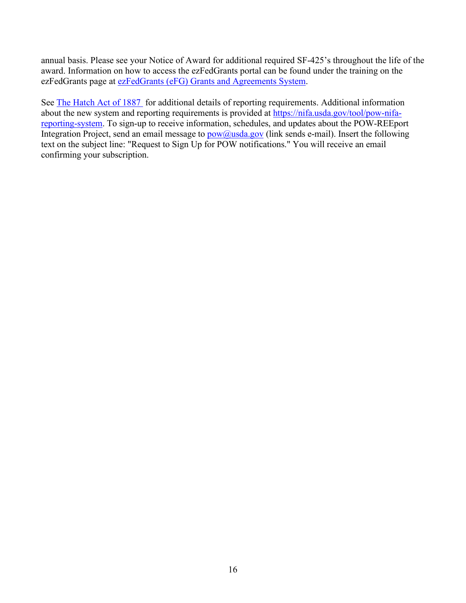annual basis. Please see your Notice of Award for additional required SF-425's throughout the life of the award. Information on how to access the ezFedGrants portal can be found under the training on the ezFedGrants page at ezFedGrants (eFG) Grants and Agreements System.

See [The Hatch Act of 1887](https://nifa.usda.gov/program/hatch-act-1887) for additional details of reporting requirements. Additional information about the new system and reporting requirements is provided at [https://nifa.usda.gov/tool/pow-nifa](https://nifa.usda.gov/tool/pow-nifa-reporting-system)[reporting-system.](https://nifa.usda.gov/tool/pow-nifa-reporting-system) To sign-up to receive information, schedules, and updates about the POW-REEport Integration Project, send an email message to  $pow@usda.gov$  (link sends e-mail). Insert the following text on the subject line: "Request to Sign Up for POW notifications." You will receive an email confirming your subscription.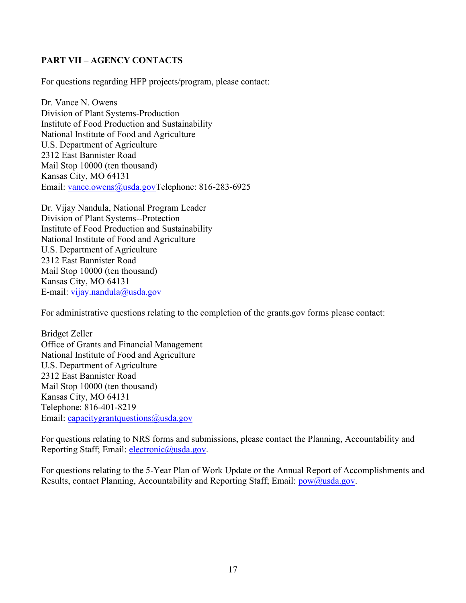# <span id="page-16-0"></span>**PART VII – AGENCY CONTACTS**

For questions regarding HFP projects/program, please contact:

Dr. Vance N. Owens Division of Plant Systems-Production Institute of Food Production and Sustainability National Institute of Food and Agriculture U.S. Department of Agriculture 2312 East Bannister Road Mail Stop 10000 (ten thousand) Kansas City, MO 64131 Email: [vance.owens@usda.govT](mailto:vance.owens@usda.gov)elephone: 816-283-6925

Dr. Vijay Nandula, National Program Leader Division of Plant Systems--Protection Institute of Food Production and Sustainability National Institute of Food and Agriculture U.S. Department of Agriculture 2312 East Bannister Road Mail Stop 10000 (ten thousand) Kansas City, MO 64131 E-mail: [vijay.nandula@usda.gov](mailto:vijay.nandula@usda.gov)

For administrative questions relating to the completion of the grants.gov forms please contact:

Bridget Zeller Office of Grants and Financial Management National Institute of Food and Agriculture U.S. Department of Agriculture 2312 East Bannister Road Mail Stop 10000 (ten thousand) Kansas City, MO 64131 Telephone: 816-401-8219 Email: [capacitygrantquestions@usda.gov](mailto:capacitygrantquestions@usda.gov)

For questions relating to NRS forms and submissions, please contact the Planning, Accountability and Reporting Staff; Email: [electronic@usda.gov.](mailto:electronic@usda.gov)

For questions relating to the 5-Year Plan of Work Update or the Annual Report of Accomplishments and Results, contact Planning, Accountability and Reporting Staff; Email: [pow@usda.gov.](mailto:pow@usda.gov)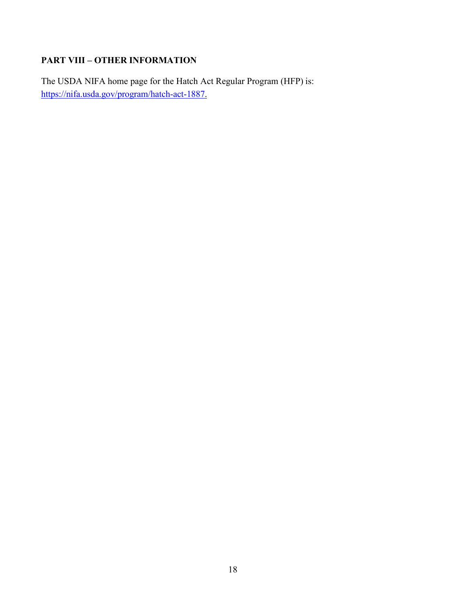# <span id="page-17-0"></span>**PART VIII – OTHER INFORMATION**

The USDA NIFA home page for the Hatch Act Regular Program (HFP) is: [https://nifa.usda.gov/program/hatch-act-1887.](https://nifa.usda.gov/program/hatch-act-1887)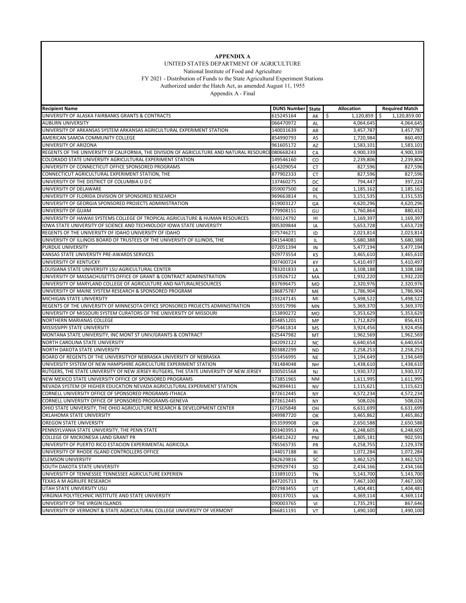

UNITED STATES DEPARTMENT OF AGRICULTURE

 National Institute of Food and Agriculture FY 2021 - Distribution of Funds to the State Agricultural Experiment Stations

Authorized under the Hatch Act, as amended August 11, 1955

Appendix A - Final

<span id="page-18-0"></span>

| <b>Recipient Name</b>                                                                              | <b>DUNS Number   State</b> |                 | Allocation             | <b>Required Match</b> |
|----------------------------------------------------------------------------------------------------|----------------------------|-----------------|------------------------|-----------------------|
| UNIVERSITY OF ALASKA FAIRBANKS GRANTS & CONTRACTS                                                  | 615245164                  | AK              | \$<br>1,120,859        | Ŝ.<br>1,120,859.00    |
| <b>AUBURN UNIVERSITY</b>                                                                           | 066470972                  | AL              | 4,064,645              | 4,064,645             |
| UNIVERSITY OF ARKANSAS SYSTEM ARKANSAS AGRICULTURAL EXPERIMENT STATION                             | 140031639                  | AR              | 3,457,787              | 3,457,787             |
| AMERICAN SAMOA COMMUNITY COLLEGE                                                                   | 854990793                  | AS              | 1,720,984              | 860,492               |
| UNIVERSITY OF ARIZONA                                                                              | 961605172                  | AZ              | 1,583,101              | 1,583,101             |
| REGENTS OF THE UNIVERSITY OF CALIFORNIA, THE DIVISION OF AGRICULTURE AND NATURAL RESOURCH080668243 |                            | CA              | 4.900.339              | 4,900,339             |
| COLORADO STATE UNIVERSITY AGRICULTURAL EXPERIMENT STATION                                          | 149546160                  | CO              | 2,239,806              | 2,239,806             |
| UNIVERSITY OF CONNECTICUT OFFICE SPONSORED PROGRAMS                                                | 614209054                  | <b>CT</b>       | 827,596                | 827,596               |
| CONNECTICUT AGRICULTURAL EXPERIMENT STATION, THE                                                   | 877902333                  | CT              | 827,596                | 827,596               |
| UNIVERSITY OF THE DISTRICT OF COLUMBIA U D C                                                       | 137460275                  | <b>DC</b>       | 794,447                | 397,224               |
| UNIVERSITY OF DELAWARE                                                                             | 059007500                  | DE              | $\overline{1,}185,162$ | 1,185,162             |
| UNIVERSITY OF FLORIDA DIVISION OF SPONSORED RESEARCH                                               | 969663814                  | <b>FL</b>       | 3,151,535              | 3,151,535             |
| UNIVERSITY OF GEORGIA SPONSORED PROJECTS ADMINISTRATION                                            | 619003127                  | GA              | 4.620.296              | 4,620,296             |
| UNIVERSITY OF GUAM                                                                                 | 779908151                  | GU              | 1,760,864              | 880,432               |
| UNIVERSITY OF HAWAII SYSTEMS COLLEGE OF TROPICAL AGRICULTURE & HUMAN RESOURCES                     | 930124792                  | HI              | 1,169,397              | 1,169,397             |
| IOWA STATE UNIVERSITY OF SCIENCE AND TECHNOLOGY IOWA STATE UNIVERSITY                              | 005309844                  | IA              | 5,653,728              | 5,653,728             |
| REGENTS OF THE UNIVERSITY OF IDAHO UNIVERSITY OF IDAHO                                             | 075746271                  | ID              | 2,023,814              | 2,023,814             |
| UNIVERSITY OF ILLINOIS BOARD OF TRUSTEES OF THE UNIVERSITY OF ILLINOIS, THE                        | 041544081                  | IL              | 5,680,388              | 5,680,388             |
| <b>PURDUE UNIVERSITY</b>                                                                           | 072051394                  | IN              | 5,477,194              | 5,477,194             |
| KANSAS STATE UNIVERSITY PRE-AWARDS SERVICES                                                        | 929773554                  | KS              | 3,465,610              | 3,465,610             |
| UNIVERSITY OF KENTUCKY                                                                             | 007400724                  | KY              | 5,410,497              | 5,410,497             |
| LOUISIANA STATE UNIVERSITY LSU AGRICULTURAL CENTER                                                 | 783201833                  | LA              | 3,108,188              | 3,108,188             |
| UNIVERSITY OF MASSACHUSETTS OFFICE OF GRANT & CONTRACT ADMINISTRATION                              | 153926712                  | MA              | 1,932,220              | 1,932,220             |
| UNIVERSITY OF MARYLAND COLLEGE OF AGRICULTURE AND NATURALRESOURCES                                 | 837696475                  | <b>MD</b>       | 2,320,976              | 2,320,976             |
| UNIVERSITY OF MAINE SYSTEM RESEARCH & SPONSORED PROGRAM                                            | 186875787                  | ME              | 1,786,904              | 1,786,904             |
| MICHIGAN STATE UNIVERSITY                                                                          | 193247145                  | MI              | 5,498,522              | 5.498.522             |
| REGENTS OF THE UNIVERSITY OF MINNESOTA OFFICE SPONSORED PROJECTS ADMINISTRATION                    | 555917996                  | MN              | 5,369,370              | 5,369,370             |
| UNIVERSITY OF MISSOURI SYSTEM CURATORS OF THE UNIVERSITY OF MISSOURI                               | 153890272                  | <b>MO</b>       | 5,353,629              | 5,353,629             |
| <b>NORTHERN MARIANAS COLLEGE</b>                                                                   | 854851201                  | MP              | 1,712,829              | 856,415               |
| MISSISSIPPI STATE UNIVERSITY                                                                       | 075461814                  | MS              | 3,924,456              | 3,924,456             |
| MONTANA STATE UNIVERSITY, INC MONT ST UNIV/GRANTS & CONTRACT                                       | 625447982                  | MT              | 1,962,569              | 1,962,569             |
| NORTH CAROLINA STATE UNIVERSITY                                                                    | 042092122                  | <b>NC</b>       | 6,640,654              | 6,640,654             |
| NORTH DAKOTA STATE UNIVERSITY                                                                      | 803882299                  | <b>ND</b>       | 2,258,253              | 2,258,253             |
| BOARD OF REGENTS OF THE UNIVERSITYOF NEBRASKA UNIVERSITY OF NEBRASKA                               | 555456995                  | <b>NE</b>       | 3,194,649              | 3,194,649             |
| UNIVERSITY SYSTEM OF NEW HAMPSHIRE AGRICULTURE EXPERIMENT STATION                                  | 781484048                  | NH              | 1,438,610              | 1,438,610             |
| RUTGERS, THE STATE UNIVERSITY OF NEW JERSEY RUTGERS, THE STATE UNIVERSITY OF NEW JERSEY            | 030501568                  | <b>NJ</b>       | 1,930,372              | 1,930,372             |
| NEW MEXICO STATE UNIVERSITY OFFICE OF SPONSORED PROGRAMS                                           | 173851965                  | <b>NM</b>       | 1,611,995              | 1,611,995             |
| NEVADA SYSTEM OF HIGHER EDUCATION NEVADA AGRICULTURAL EXPERIMENT STATION                           | 962894411                  | <b>NV</b>       | 1,115,621              | 1,115,621             |
| CORNELL UNIVERSITY OFFICE OF SPONSORED PROGRAMS-ITHACA                                             | 872612445                  | <b>NY</b>       | 4,572,234              | 4,572,234             |
| CORNELL UNIVERSITY OFFICE OF SPONSORED PROGRAMS-GENEVA                                             | 872612445                  | <b>NY</b>       | 508,026                | 508,026               |
| OHIO STATE UNIVERSITY. THE OHIO AGRICULTURE RESEARCH & DEVELOPMENT CENTER                          | 171605848                  | OH              | 6,631,699              | 6,631,699             |
| OKLAHOMA STATE UNIVERSITY                                                                          | 049987720                  | OK              | 3,465,862              | 3,465,862             |
| <b>OREGON STATE UNIVERSITY</b>                                                                     | 053599908                  | <b>OR</b>       | 2,650,588              | 2,650,588             |
| PENNSYLVANIA STATE UNIVERSITY, THE PENN STATE                                                      | 003403953                  | PA              | 6,248,605              | 6,248,605             |
| COLLEGE OF MICRONESIA LAND GRANT PR                                                                | 854812422                  | PNI             | 1,805,181              | 902,591               |
| UNIVERSITY OF PUERTO RICO ESTACION EXPERIMENTAL AGRICOLA                                           | 785565735                  | PR              | 4,258,755              | 2,129,378             |
| UNIVERSITY OF RHODE ISLAND CONTROLLERS OFFICE                                                      | 144017188                  |                 | 1,072,284              | 1,072,284             |
| <b>CLEMSON UNIVERSITY</b>                                                                          | 042629816                  | <b>RI</b><br>SC | 3,462,525              | 3,462,525             |
| SOUTH DAKOTA STATE UNIVERSITY                                                                      | 929929743                  |                 | 2,434,166              | 2,434,166             |
| UNIVERSITY OF TENNESSEE TENNESSEE AGRICULTURE EXPERIEN                                             | 133891015                  | <b>SD</b>       | 5,143,700              | 5,143,700             |
|                                                                                                    |                            | TN              |                        |                       |
| TEXAS A M AGRILIFE RESEARCH<br>UTAH STATE UNIVERSITY USU                                           | 847205713<br>072983455     | TX              | 7,467,100              | 7,467,100             |
| VIRGINIA POLYTECHNIC INSTITUTE AND STATE UNIVERSITY                                                |                            | UT              | 1,404,481              | 1,404,481             |
|                                                                                                    | 003137015                  | VA              | 4,369,114              | 4,369,114             |
| UNIVERSITY OF THE VIRGIN ISLANDS                                                                   | 090003765                  | VI              | 1,735,291              | 867,646               |
| UNIVERSITY OF VERMONT & STATE AGRICULTURAL COLLEGE UNIVERSITY OF VERMONT                           | 066811191                  | VT              | 1,490,100              | 1,490,100             |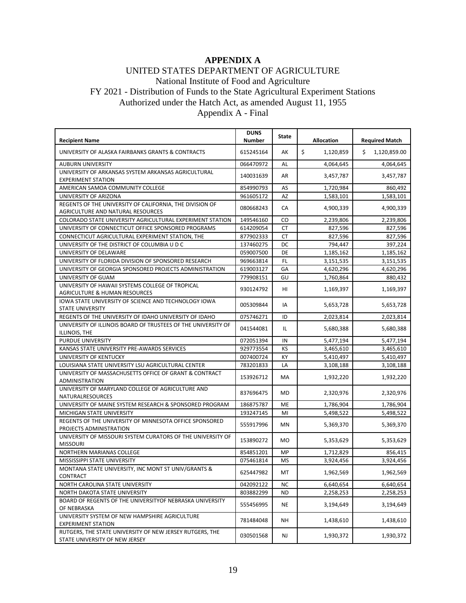# **APPENDIX A**

# UNITED STATES DEPARTMENT OF AGRICULTURE

National Institute of Food and Agriculture

FY 2021 - Distribution of Funds to the State Agricultural Experiment Stations

Authorized under the Hatch Act, as amended August 11, 1955

Appendix A - Final

|                                                                                               | <b>DUNS</b> | <b>State</b>   |                   |                       |
|-----------------------------------------------------------------------------------------------|-------------|----------------|-------------------|-----------------------|
| <b>Recipient Name</b>                                                                         | Number      |                | <b>Allocation</b> | <b>Required Match</b> |
| UNIVERSITY OF ALASKA FAIRBANKS GRANTS & CONTRACTS                                             | 615245164   | AK             | \$<br>1,120,859   | \$<br>1,120,859.00    |
| <b>AUBURN UNIVERSITY</b>                                                                      | 066470972   | AL             | 4,064,645         | 4,064,645             |
| UNIVERSITY OF ARKANSAS SYSTEM ARKANSAS AGRICULTURAL<br><b>EXPERIMENT STATION</b>              | 140031639   | AR             | 3,457,787         | 3,457,787             |
| AMERICAN SAMOA COMMUNITY COLLEGE                                                              | 854990793   | AS             | 1,720,984         | 860,492               |
| UNIVERSITY OF ARIZONA                                                                         | 961605172   | AZ             | 1,583,101         | 1,583,101             |
| REGENTS OF THE UNIVERSITY OF CALIFORNIA, THE DIVISION OF<br>AGRICULTURE AND NATURAL RESOURCES | 080668243   | CA             | 4,900,339         | 4,900,339             |
| COLORADO STATE UNIVERSITY AGRICULTURAL EXPERIMENT STATION                                     | 149546160   | CO             | 2,239,806         | 2,239,806             |
| UNIVERSITY OF CONNECTICUT OFFICE SPONSORED PROGRAMS                                           | 614209054   | <b>CT</b>      | 827,596           | 827,596               |
| CONNECTICUT AGRICULTURAL EXPERIMENT STATION, THE                                              | 877902333   | <b>CT</b>      | 827,596           | 827,596               |
| UNIVERSITY OF THE DISTRICT OF COLUMBIA U D C                                                  | 137460275   | DC             | 794,447           | 397,224               |
| UNIVERSITY OF DELAWARE                                                                        | 059007500   | DE             | 1,185,162         | 1,185,162             |
| UNIVERSITY OF FLORIDA DIVISION OF SPONSORED RESEARCH                                          | 969663814   | FL             | 3,151,535         | 3,151,535             |
| UNIVERSITY OF GEORGIA SPONSORED PROJECTS ADMINISTRATION                                       | 619003127   | GA             | 4,620,296         | 4,620,296             |
| UNIVERSITY OF GUAM                                                                            | 779908151   | GU             | 1,760,864         | 880,432               |
| UNIVERSITY OF HAWAII SYSTEMS COLLEGE OF TROPICAL<br><b>AGRICULTURE &amp; HUMAN RESOURCES</b>  | 930124792   | HI             | 1,169,397         | 1,169,397             |
| IOWA STATE UNIVERSITY OF SCIENCE AND TECHNOLOGY IOWA<br><b>STATE UNIVERSITY</b>               | 005309844   | IA             | 5,653,728         | 5,653,728             |
| REGENTS OF THE UNIVERSITY OF IDAHO UNIVERSITY OF IDAHO                                        | 075746271   | ID             | 2,023,814         | 2,023,814             |
| UNIVERSITY OF ILLINOIS BOARD OF TRUSTEES OF THE UNIVERSITY OF<br>ILLINOIS, THE                | 041544081   | IL             | 5,680,388         | 5,680,388             |
| PURDUE UNIVERSITY                                                                             | 072051394   | IN             | 5,477,194         | 5,477,194             |
| KANSAS STATE UNIVERSITY PRE-AWARDS SERVICES                                                   | 929773554   | KS             | 3,465,610         | 3,465,610             |
| UNIVERSITY OF KENTUCKY                                                                        | 007400724   | KY             | 5,410,497         | 5,410,497             |
| LOUISIANA STATE UNIVERSITY LSU AGRICULTURAL CENTER                                            | 783201833   | LA             | 3,108,188         | 3,108,188             |
| UNIVERSITY OF MASSACHUSETTS OFFICE OF GRANT & CONTRACT<br>ADMINISTRATION                      | 153926712   | <b>MA</b>      | 1,932,220         | 1,932,220             |
| UNIVERSITY OF MARYLAND COLLEGE OF AGRICULTURE AND<br>NATURALRESOURCES                         | 837696475   | MD             | 2,320,976         | 2,320,976             |
| UNIVERSITY OF MAINE SYSTEM RESEARCH & SPONSORED PROGRAM                                       | 186875787   | ME             | 1,786,904         | 1,786,904             |
| MICHIGAN STATE UNIVERSITY                                                                     | 193247145   | MI             | 5,498,522         | 5,498,522             |
| REGENTS OF THE UNIVERSITY OF MINNESOTA OFFICE SPONSORED<br>PROJECTS ADMINISTRATION            | 555917996   | MN             | 5,369,370         | 5,369,370             |
| UNIVERSITY OF MISSOURI SYSTEM CURATORS OF THE UNIVERSITY OF<br><b>MISSOURI</b>                | 153890272   | M <sub>O</sub> | 5,353,629         | 5,353,629             |
| NORTHERN MARIANAS COLLEGE                                                                     | 854851201   | MP             | 1,712,829         | 856.415               |
| MISSISSIPPI STATE UNIVERSITY                                                                  | 075461814   | MS             | 3,924,456         | 3,924,456             |
| MONTANA STATE UNIVERSITY, INC MONT ST UNIV/GRANTS &<br>CONTRACT                               | 625447982   | MT             | 1,962,569         | 1,962,569             |
| NORTH CAROLINA STATE UNIVERSITY                                                               | 042092122   | NC             | 6,640,654         | 6,640,654             |
| NORTH DAKOTA STATE UNIVERSITY                                                                 | 803882299   | ND             | 2,258,253         | 2,258,253             |
| BOARD OF REGENTS OF THE UNIVERSITYOF NEBRASKA UNIVERSITY                                      |             |                |                   |                       |
| OF NEBRASKA                                                                                   | 555456995   | NE             | 3,194,649         | 3,194,649             |
| UNIVERSITY SYSTEM OF NEW HAMPSHIRE AGRICULTURE<br><b>EXPERIMENT STATION</b>                   | 781484048   | NΗ             | 1,438,610         | 1,438,610             |
| RUTGERS, THE STATE UNIVERSITY OF NEW JERSEY RUTGERS, THE<br>STATE UNIVERSITY OF NEW JERSEY    | 030501568   | NJ             | 1,930,372         | 1,930,372             |